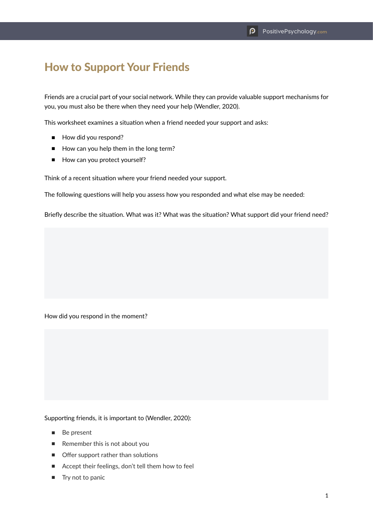## How to Support Your Friends

Friends are a crucial part of your social network. While they can provide valuable support mechanisms for you, you must also be there when they need your help (Wendler, 2020).

This worksheet examines a situation when a friend needed your support and asks:

- How did you respond?
- How can you help them in the long term?
- How can you protect yourself?

Think of a recent situation where your friend needed your support.

The following questions will help you assess how you responded and what else may be needed:

Briefly describe the situation. What was it? What was the situation? What support did your friend need?

How did you respond in the moment?

Supporting friends, it is important to (Wendler, 2020):

- Be present
- Remember this is not about you
- Offer support rather than solutions
- Accept their feelings, don't tell them how to feel
- Try not to panic